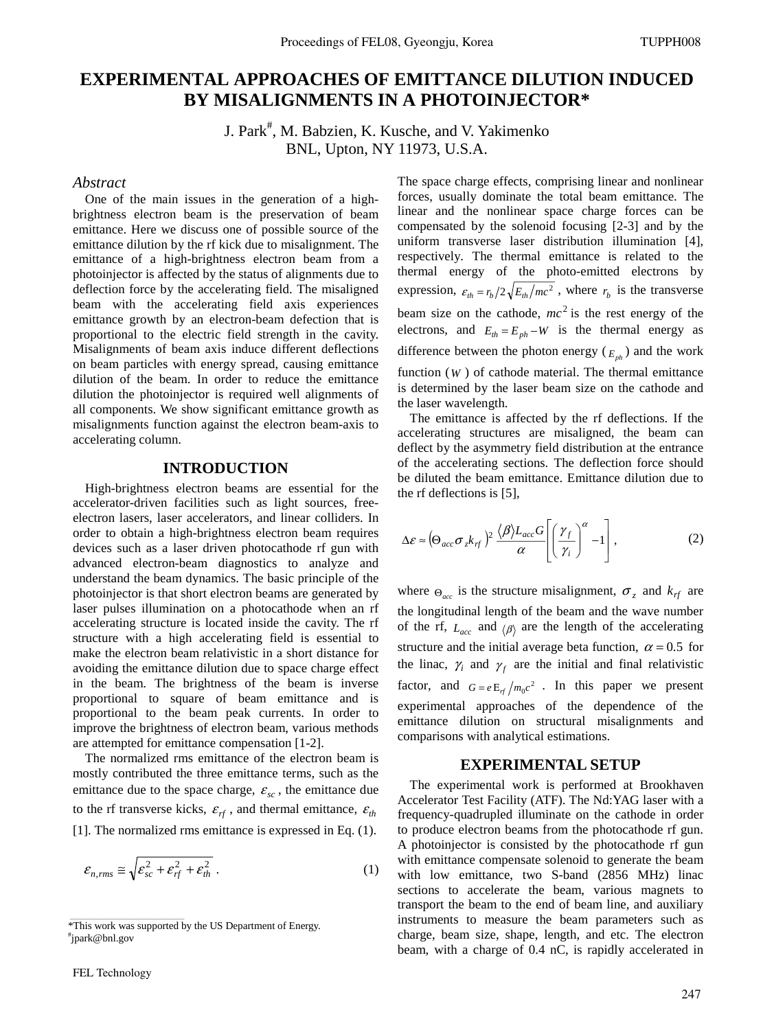# **EXPERIMENTAL APPROACHES OF EMITTANCE DILUTION INDUCED BY MISALIGNMENTS IN A PHOTOINJECTOR\***

J. Park<sup>#</sup>, M. Babzien, K. Kusche, and V. Yakimenko BNL, Upton, NY 11973, U.S.A.

### *Abstract*

One of the main issues in the generation of a highbrightness electron beam is the preservation of beam emittance. Here we discuss one of possible source of the emittance dilution by the rf kick due to misalignment. The emittance of a high-brightness electron beam from a photoinjector is affected by the status of alignments due to deflection force by the accelerating field. The misaligned beam with the accelerating field axis experiences emittance growth by an electron-beam defection that is proportional to the electric field strength in the cavity. Misalignments of beam axis induce different deflections on beam particles with energy spread, causing emittance dilution of the beam. In order to reduce the emittance dilution the photoinjector is required well alignments of all components. We show significant emittance growth as misalignments function against the electron beam-axis to accelerating column.

### **INTRODUCTION**

High-brightness electron beams are essential for the accelerator-driven facilities such as light sources, freeelectron lasers, laser accelerators, and linear colliders. In order to obtain a high-brightness electron beam requires devices such as a laser driven photocathode rf gun with advanced electron-beam diagnostics to analyze and understand the beam dynamics. The basic principle of the photoinjector is that short electron beams are generated by laser pulses illumination on a photocathode when an rf accelerating structure is located inside the cavity. The rf structure with a high accelerating field is essential to make the electron beam relativistic in a short distance for avoiding the emittance dilution due to space charge effect in the beam. The brightness of the beam is inverse proportional to square of beam emittance and is proportional to the beam peak currents. In order to improve the brightness of electron beam, various methods are attempted for emittance compensation [1-2].

The normalized rms emittance of the electron beam is mostly contributed the three emittance terms, such as the emittance due to the space charge,  $\varepsilon_{sc}$ , the emittance due to the rf transverse kicks,  $\varepsilon_{rf}$ , and thermal emittance,  $\varepsilon_{th}$ [1]. The normalized rms emittance is expressed in Eq. (1).

$$
\varepsilon_{n,rms} \cong \sqrt{\varepsilon_{sc}^2 + \varepsilon_{rf}^2 + \varepsilon_{th}^2} \ . \tag{1}
$$

\_\_\_\_\_\_\_\_\_\_\_\_\_\_\_\_\_\_\_\_\_\_\_\_\_\_\_\_\_\_\_\_\_\_\_\_\_\_\_\_\_\_\_

The space charge effects, comprising linear and nonlinear forces, usually dominate the total beam emittance. The linear and the nonlinear space charge forces can be compensated by the solenoid focusing [2-3] and by the uniform transverse laser distribution illumination [4], respectively. The thermal emittance is related to the thermal energy of the photo-emitted electrons by expression,  $\varepsilon_{th} = r_h/2\sqrt{E_{th}/mc^2}$ , where  $r_h$  is the transverse beam size on the cathode,  $mc^2$  is the rest energy of the electrons, and  $E_{th} = E_{ph} - W$  is the thermal energy as difference between the photon energy  $(E_{n}$ <sup>b</sup> and the work function (*W* ) of cathode material. The thermal emittance is determined by the laser beam size on the cathode and the laser wavelength.

The emittance is affected by the rf deflections. If the accelerating structures are misaligned, the beam can deflect by the asymmetry field distribution at the entrance of the accelerating sections. The deflection force should be diluted the beam emittance. Emittance dilution due to the rf deflections is [5],

$$
\Delta \varepsilon \approx \left(\Theta_{acc}\sigma_z k_{rf}\right)^2 \frac{\langle \beta \rangle L_{acc} G}{\alpha} \left[ \left(\frac{\gamma_f}{\gamma_i}\right)^{\alpha} - 1 \right],
$$
 (2)

where  $\Theta_{acc}$  is the structure misalignment,  $\sigma_z$  and  $k_{rf}$  are the longitudinal length of the beam and the wave number of the rf,  $L_{acc}$  and  $\langle \beta \rangle$  are the length of the accelerating structure and the initial average beta function,  $\alpha = 0.5$  for the linac,  $\gamma_i$  and  $\gamma_f$  are the initial and final relativistic factor, and  $G = e E_{rf} / m_0 c^2$ . In this paper we present experimental approaches of the dependence of the emittance dilution on structural misalignments and comparisons with analytical estimations.

### **EXPERIMENTAL SETUP**

The experimental work is performed at Brookhaven Accelerator Test Facility (ATF). The Nd:YAG laser with a frequency-quadrupled illuminate on the cathode in order to produce electron beams from the photocathode rf gun. A photoinjector is consisted by the photocathode rf gun with emittance compensate solenoid to generate the beam with low emittance, two S-band (2856 MHz) linac sections to accelerate the beam, various magnets to transport the beam to the end of beam line, and auxiliary instruments to measure the beam parameters such as charge, beam size, shape, length, and etc. The electron beam, with a charge of 0.4 nC, is rapidly accelerated in

<sup>\*</sup>This work was supported by the US Department of Energy. # jpark@bnl.gov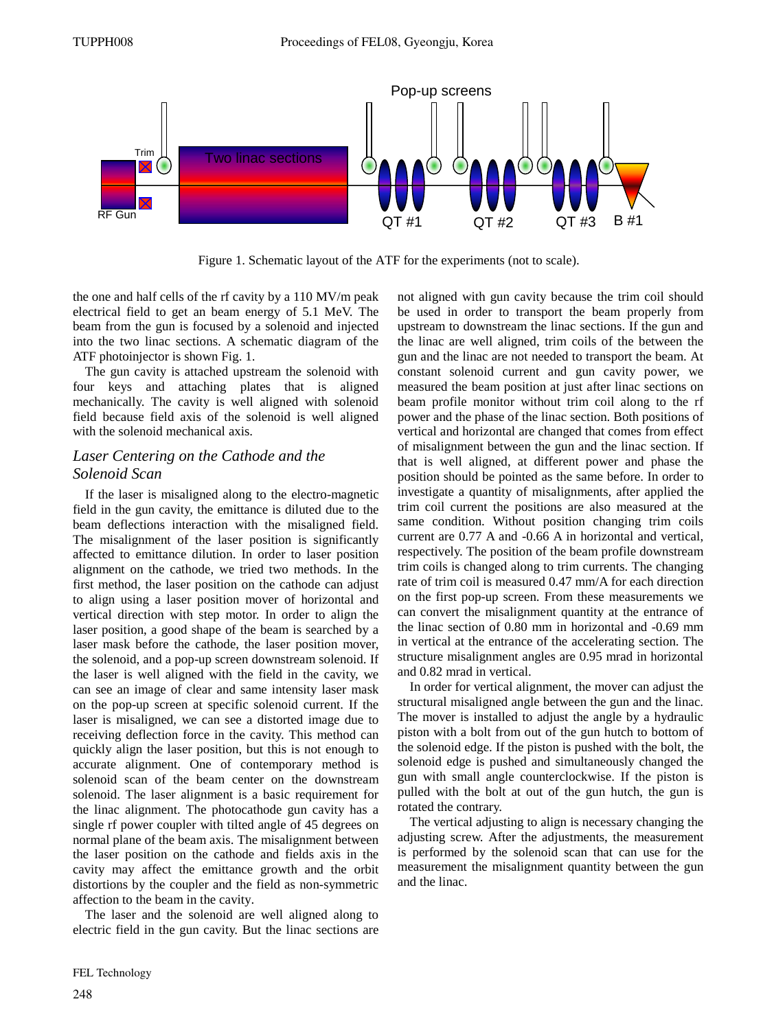

Figure 1. Schematic layout of the ATF for the experiments (not to scale).

the one and half cells of the rf cavity by a 110 MV/m peak electrical field to get an beam energy of 5.1 MeV. The beam from the gun is focused by a solenoid and injected into the two linac sections. A schematic diagram of the ATF photoinjector is shown Fig. 1.

The gun cavity is attached upstream the solenoid with four keys and attaching plates that is aligned mechanically. The cavity is well aligned with solenoid field because field axis of the solenoid is well aligned with the solenoid mechanical axis.

## *Laser Centering on the Cathode and the Solenoid Scan*

If the laser is misaligned along to the electro-magnetic field in the gun cavity, the emittance is diluted due to the beam deflections interaction with the misaligned field. The misalignment of the laser position is significantly affected to emittance dilution. In order to laser position alignment on the cathode, we tried two methods. In the first method, the laser position on the cathode can adjust to align using a laser position mover of horizontal and vertical direction with step motor. In order to align the laser position, a good shape of the beam is searched by a laser mask before the cathode, the laser position mover, the solenoid, and a pop-up screen downstream solenoid. If the laser is well aligned with the field in the cavity, we can see an image of clear and same intensity laser mask on the pop-up screen at specific solenoid current. If the laser is misaligned, we can see a distorted image due to receiving deflection force in the cavity. This method can quickly align the laser position, but this is not enough to accurate alignment. One of contemporary method is solenoid scan of the beam center on the downstream solenoid. The laser alignment is a basic requirement for the linac alignment. The photocathode gun cavity has a single rf power coupler with tilted angle of 45 degrees on normal plane of the beam axis. The misalignment between the laser position on the cathode and fields axis in the cavity may affect the emittance growth and the orbit distortions by the coupler and the field as non-symmetric affection to the beam in the cavity.

The laser and the solenoid are well aligned along to electric field in the gun cavity. But the linac sections are not aligned with gun cavity because the trim coil should be used in order to transport the beam properly from upstream to downstream the linac sections. If the gun and the linac are well aligned, trim coils of the between the gun and the linac are not needed to transport the beam. At constant solenoid current and gun cavity power, we measured the beam position at just after linac sections on beam profile monitor without trim coil along to the rf power and the phase of the linac section. Both positions of vertical and horizontal are changed that comes from effect of misalignment between the gun and the linac section. If that is well aligned, at different power and phase the position should be pointed as the same before. In order to investigate a quantity of misalignments, after applied the trim coil current the positions are also measured at the same condition. Without position changing trim coils current are 0.77 A and -0.66 A in horizontal and vertical, respectively. The position of the beam profile downstream trim coils is changed along to trim currents. The changing rate of trim coil is measured 0.47 mm/A for each direction on the first pop-up screen. From these measurements we can convert the misalignment quantity at the entrance of the linac section of 0.80 mm in horizontal and -0.69 mm in vertical at the entrance of the accelerating section. The structure misalignment angles are 0.95 mrad in horizontal and 0.82 mrad in vertical.

In order for vertical alignment, the mover can adjust the structural misaligned angle between the gun and the linac. The mover is installed to adjust the angle by a hydraulic piston with a bolt from out of the gun hutch to bottom of the solenoid edge. If the piston is pushed with the bolt, the solenoid edge is pushed and simultaneously changed the gun with small angle counterclockwise. If the piston is pulled with the bolt at out of the gun hutch, the gun is rotated the contrary.

The vertical adjusting to align is necessary changing the adjusting screw. After the adjustments, the measurement is performed by the solenoid scan that can use for the measurement the misalignment quantity between the gun and the linac.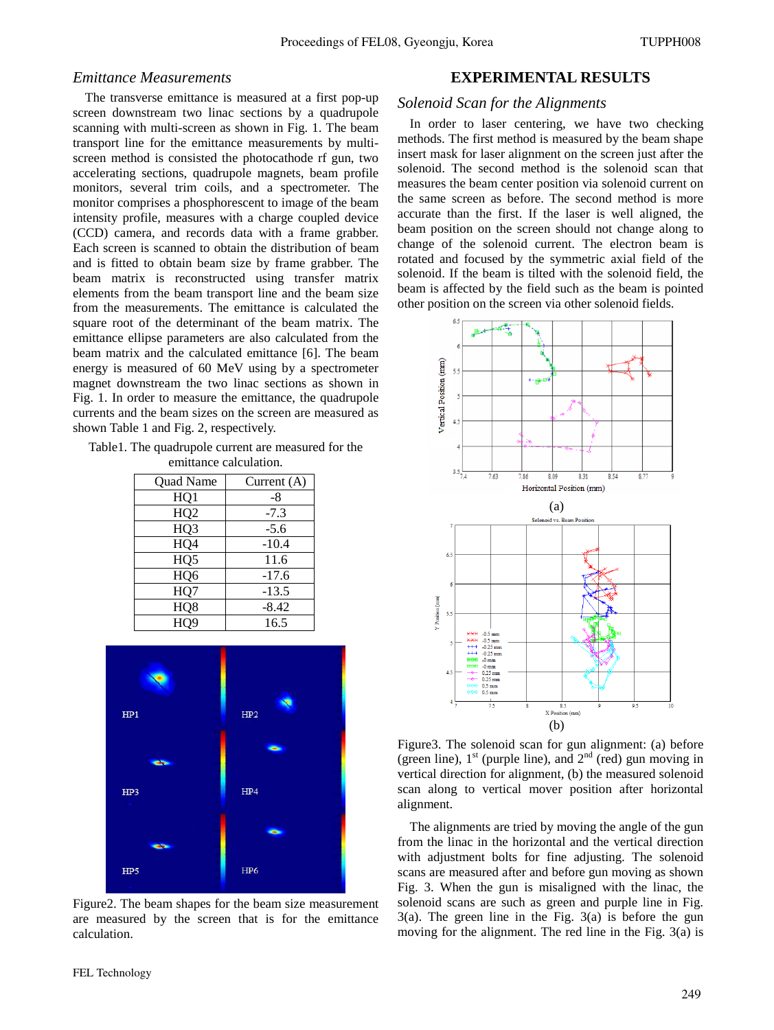### *Emittance Measurements*

The transverse emittance is measured at a first pop-up screen downstream two linac sections by a quadrupole scanning with multi-screen as shown in Fig. 1. The beam transport line for the emittance measurements by multiscreen method is consisted the photocathode rf gun, two accelerating sections, quadrupole magnets, beam profile monitors, several trim coils, and a spectrometer. The monitor comprises a phosphorescent to image of the beam intensity profile, measures with a charge coupled device (CCD) camera, and records data with a frame grabber. Each screen is scanned to obtain the distribution of beam and is fitted to obtain beam size by frame grabber. The beam matrix is reconstructed using transfer matrix elements from the beam transport line and the beam size from the measurements. The emittance is calculated the square root of the determinant of the beam matrix. The emittance ellipse parameters are also calculated from the beam matrix and the calculated emittance [6]. The beam energy is measured of 60 MeV using by a spectrometer magnet downstream the two linac sections as shown in Fig. 1. In order to measure the emittance, the quadrupole currents and the beam sizes on the screen are measured as shown Table 1 and Fig. 2, respectively.

Table1. The quadrupole current are measured for the emittance calculation.

| Quad Name        | Current $(A)$ |
|------------------|---------------|
| HQ1              | -8            |
| HQ <sub>2</sub>  | $-7.3$        |
| HQ3              | $-5.6$        |
| HQ4              | $-10.4$       |
| HQ5              | 11.6          |
| HQ <sub>6</sub>  | $-17.6$       |
| HQ7              | $-13.5$       |
| H <sub>Q</sub> 8 | $-8.42$       |
| HO <sub>9</sub>  | 16.5          |



Figure2. The beam shapes for the beam size measurement are measured by the screen that is for the emittance calculation.

### **EXPERIMENTAL RESULTS**

### *Solenoid Scan for the Alignments*

In order to laser centering, we have two checking methods. The first method is measured by the beam shape insert mask for laser alignment on the screen just after the solenoid. The second method is the solenoid scan that measures the beam center position via solenoid current on the same screen as before. The second method is more accurate than the first. If the laser is well aligned, the beam position on the screen should not change along to change of the solenoid current. The electron beam is rotated and focused by the symmetric axial field of the solenoid. If the beam is tilted with the solenoid field, the beam is affected by the field such as the beam is pointed other position on the screen via other solenoid fields.



Figure3. The solenoid scan for gun alignment: (a) before (green line),  $1<sup>st</sup>$  (purple line), and  $2<sup>nd</sup>$  (red) gun moving in vertical direction for alignment, (b) the measured solenoid scan along to vertical mover position after horizontal alignment.

The alignments are tried by moving the angle of the gun from the linac in the horizontal and the vertical direction with adjustment bolts for fine adjusting. The solenoid scans are measured after and before gun moving as shown Fig. 3. When the gun is misaligned with the linac, the solenoid scans are such as green and purple line in Fig. 3(a). The green line in the Fig. 3(a) is before the gun moving for the alignment. The red line in the Fig. 3(a) is